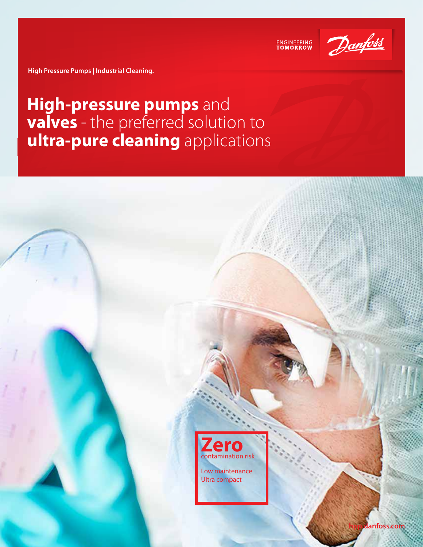



**High Pressure Pumps | Industrial Cleaning.**

## **High-pressure pumps** and **valves** - the preferred solution to **ultra-pure cleaning** applications



Low maintenance Ultra compact

**hpp.danfoss.com**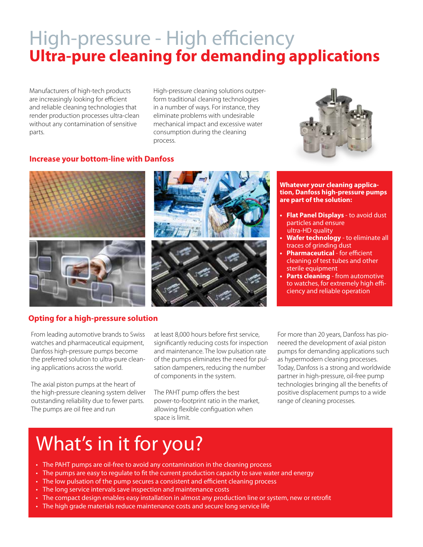## High-pressure - High efficiency **Ultra-pure cleaning for demanding applications**

Manufacturers of high-tech products are increasingly looking for efficient and reliable cleaning technologies that render production processes ultra-clean without any contamination of sensitive parts.

High-pressure cleaning solutions outperform traditional cleaning technologies in a number of ways. For instance, they eliminate problems with undesirable mechanical impact and excessive water consumption during the cleaning process.



### **Increase your bottom-line with Danfoss**



#### **Whatever your cleaning application, Danfoss high-pressure pumps are part of the solution:**

- **• Flat Panel Displays** to avoid dust particles and ensure ultra-HD quality
- **• Wafer technology** to eliminate all traces of grinding dust
- **• Pharmaceutical** for efficient cleaning of test tubes and other sterile equipment
- **• Parts cleaning** from automotive to watches, for extremely high efficiency and reliable operation

### **Opting for a high-pressure solution**

From leading automotive brands to Swiss watches and pharmaceutical equipment, Danfoss high-pressure pumps become the preferred solution to ultra-pure cleaning applications across the world.

The axial piston pumps at the heart of the high-pressure cleaning system deliver outstanding reliability due to fewer parts. The pumps are oil free and run

at least 8,000 hours before first service, significantly reducing costs for inspection and maintenance. The low pulsation rate of the pumps eliminates the need for pulsation dampeners, reducing the number of components in the system.

The PAHT pump offers the best power-to-footprint ratio in the market, allowing flexible configuation when space is limit.

For more than 20 years, Danfoss has pioneered the development of axial piston pumps for demanding applications such as hypermodern cleaning processes. Today, Danfoss is a strong and worldwide partner in high-pressure, oil-free pump technologies bringing all the benefits of positive displacement pumps to a wide range of cleaning processes.

## What's in it for you?

- The PAHT pumps are oil-free to avoid any contamination in the cleaning process
- The pumps are easy to regulate to fit the current production capacity to save water and energy
- The low pulsation of the pump secures a consistent and efficient cleaning process
- The long service intervals save inspection and maintenance costs
- The compact design enables easy installation in almost any production line or system, new or retrofit
- The high grade materials reduce maintenance costs and secure long service life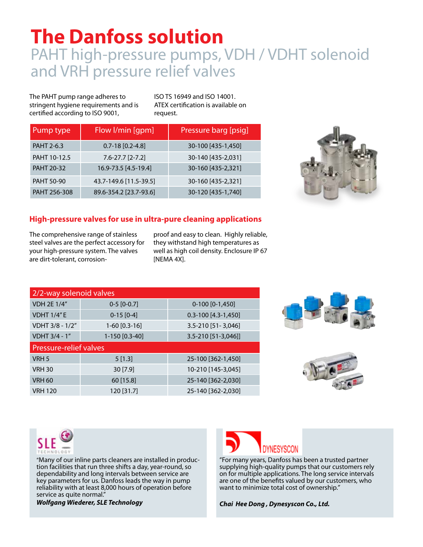# **The Danfoss solution**

## PAHT high-pressure pumps, VDH / VDHT solenoid and VRH pressure relief valves

The PAHT pump range adheres to stringent hygiene requirements and is certified according to ISO 9001,

ISO TS 16949 and ISO 14001. ATEX certification is available on request.

| Pump type         | Flow I/min [gpm]       | Pressure barg [psig] |
|-------------------|------------------------|----------------------|
| PAHT 2-6.3        | $0.7 - 18$ [0.2-4.8]   | 30-100 [435-1,450]   |
| PAHT 10-12.5      | $7.6 - 27.7$ [2-7.2]   | 30-140 [435-2,031]   |
| <b>PAHT 20-32</b> | 16.9-73.5 [4.5-19.4]   | 30-160 [435-2,321]   |
| <b>PAHT 50-90</b> | 43.7-149.6 [11.5-39.5] | 30-160 [435-2,321]   |
| PAHT 256-308      | 89.6-354.2 [23.7-93.6] | 30-120 [435-1,740]   |



### **High-pressure valves for use in ultra-pure cleaning applications**

The comprehensive range of stainless steel valves are the perfect accessory for your high-pressure system. The valves are dirt-tolerant, corrosionproof and easy to clean. Highly reliable, they withstand high temperatures as well as high coil density. Enclosure IP 67 [NEMA 4X].

| 2/2-way solenoid valves       |                 |                         |  |
|-------------------------------|-----------------|-------------------------|--|
| <b>VDH 2E 1/4"</b>            | $0-5$ [0-0.7]   | $0-100$ [0-1,450]       |  |
| <b>VDHT 1/4"E</b>             | $0-15$ [0-4]    | $0.3 - 100$ [4.3-1,450] |  |
| VDHT 3/8 - 1/2"               | $1-60$ [0.3-16] | 3.5-210 [51-3,046]      |  |
| VDHT 3/4 - 1"                 | 1-150 [0.3-40]  | 3.5-210 [51-3,046]]     |  |
| <b>Pressure-relief valves</b> |                 |                         |  |
| VRH 5                         | 5[1.3]          | 25-100 [362-1,450]      |  |
| <b>VRH 30</b>                 | 30[7.9]         | 10-210 [145-3,045]      |  |
| <b>VRH 60</b>                 | 60 [15.8]       | 25-140 [362-2,030]      |  |
| <b>VRH 120</b>                | 120 [31.7]      | 25-140 [362-2,030]      |  |







"Many of our inline parts cleaners are installed in production facilities that run three shifts a day, year-round, so dependability and long intervals between service are key parameters for us. Danfoss leads the way in pump reliability with at least 8,000 hours of operation before service as quite normal."

*Wolfgang Wiederer, SLE Technology*



"For many years, Danfoss has been a trusted partner supplying high-quality pumps that our customers rely on for multiple applications. The long service intervals are one of the benefits valued by our customers, who want to minimize total cost of ownership*."*

*Chai Hee Dong , Dynesyscon Co., Ltd.*